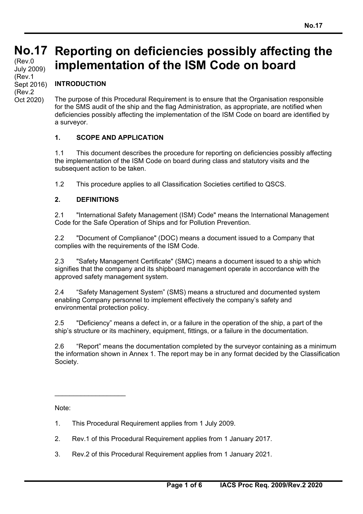# **No.17 No.17**

(Rev.0 July 2009) (Rev.1 Sept 2016) (Rev.2 Oct 2020)

### **Reporting on deficiencies possibly affecting the implementation of the ISM Code on board**

#### **INTRODUCTION**

The purpose of this Procedural Requirement is to ensure that the Organisation responsible for the SMS audit of the ship and the flag Administration, as appropriate, are notified when deficiencies possibly affecting the implementation of the ISM Code on board are identified by a surveyor.

#### **1. SCOPE AND APPLICATION**

1.1 This document describes the procedure for reporting on deficiencies possibly affecting the implementation of the ISM Code on board during class and statutory visits and the subsequent action to be taken.

1.2 This procedure applies to all Classification Societies certified to QSCS.

#### **2. DEFINITIONS**

2.1 "International Safety Management (ISM) Code" means the International Management Code for the Safe Operation of Ships and for Pollution Prevention.

2.2 "Document of Compliance" (DOC) means a document issued to a Company that complies with the requirements of the ISM Code.

2.3 "Safety Management Certificate" (SMC) means a document issued to a ship which signifies that the company and its shipboard management operate in accordance with the approved safety management system.

2.4 "Safety Management System" (SMS) means a structured and documented system enabling Company personnel to implement effectively the company's safety and environmental protection policy.

2.5 "Deficiency" means a defect in, or a failure in the operation of the ship, a part of the ship's structure or its machinery, equipment, fittings, or a failure in the documentation.

2.6 "Report" means the documentation completed by the surveyor containing as a minimum the information shown in Annex 1. The report may be in any format decided by the Classification Society.

Note:

 $\_$ 

- 1. This Procedural Requirement applies from 1 July 2009.
- 2. Rev.1 of this Procedural Requirement applies from 1 January 2017.
- 3. Rev.2 of this Procedural Requirement applies from 1 January 2021.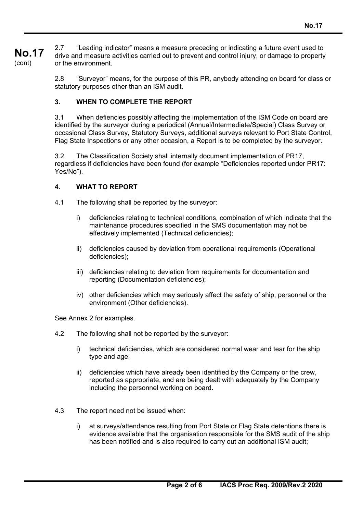**No.17**  (cont) 2.7 "Leading indicator" means a measure preceding or indicating a future event used to drive and measure activities carried out to prevent and control injury, or damage to property or the environment.

> 2.8 "Surveyor" means, for the purpose of this PR, anybody attending on board for class or statutory purposes other than an ISM audit.

#### **3. WHEN TO COMPLETE THE REPORT**

3.1 When defiencies possibly affecting the implementation of the ISM Code on board are identified by the surveyor during a periodical (Annual/Intermediate/Special) Class Survey or occasional Class Survey, Statutory Surveys, additional surveys relevant to Port State Control, Flag State Inspections or any other occasion, a Report is to be completed by the surveyor.

3.2 The Classification Society shall internally document implementation of PR17, regardless if deficiencies have been found (for example "Deficiencies reported under PR17: Yes/No").

#### **4. WHAT TO REPORT**

- 4.1 The following shall be reported by the surveyor:
	- i) deficiencies relating to technical conditions, combination of which indicate that the maintenance procedures specified in the SMS documentation may not be effectively implemented (Technical deficiencies);
	- ii) deficiencies caused by deviation from operational requirements (Operational deficiencies);
	- iii) deficiencies relating to deviation from requirements for documentation and reporting (Documentation deficiencies);
	- iv) other deficiencies which may seriously affect the safety of ship, personnel or the environment (Other deficiencies).

See Annex 2 for examples.

- 4.2 The following shall not be reported by the surveyor:
	- i) technical deficiencies, which are considered normal wear and tear for the ship type and age;
	- ii) deficiencies which have already been identified by the Company or the crew, reported as appropriate, and are being dealt with adequately by the Company including the personnel working on board.
- 4.3 The report need not be issued when:
	- i) at surveys/attendance resulting from Port State or Flag State detentions there is evidence available that the organisation responsible for the SMS audit of the ship has been notified and is also required to carry out an additional ISM audit;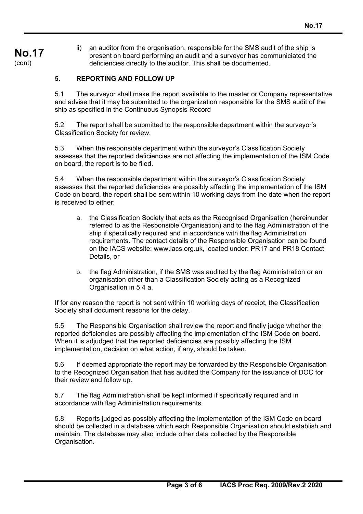### **No.17**  (cont)

ii) an auditor from the organisation, responsible for the SMS audit of the ship is present on board performing an audit and a surveyor has communiciated the deficiencies directly to the auditor. This shall be documented.

#### **5. REPORTING AND FOLLOW UP**

5.1 The surveyor shall make the report available to the master or Company representative and advise that it may be submitted to the organization responsible for the SMS audit of the ship as specified in the Continuous Synopsis Record

5.2 The report shall be submitted to the responsible department within the surveyor's Classification Society for review.

5.3 When the responsible department within the surveyor's Classification Society assesses that the reported deficiencies are not affecting the implementation of the ISM Code on board, the report is to be filed.

5.4 When the responsible department within the surveyor's Classification Society assesses that the reported deficiencies are possibly affecting the implementation of the ISM Code on board, the report shall be sent within 10 working days from the date when the report is received to either:

- a. the Classification Society that acts as the Recognised Organisation (hereinunder referred to as the Responsible Organisation) and to the flag Administration of the ship if specifically required and in accordance with the flag Administration requirements. The contact details of the Responsible Organisation can be found on the IACS website: www.iacs.org.uk, located under: PR17 and PR18 Contact Details, or
- b. the flag Administration, if the SMS was audited by the flag Administration or an organisation other than a Classification Society acting as a Recognized Organisation in 5.4 a.

If for any reason the report is not sent within 10 working days of receipt, the Classification Society shall document reasons for the delay.

5.5 The Responsible Organisation shall review the report and finally judge whether the reported deficiencies are possibly affecting the implementation of the ISM Code on board. When it is adjudged that the reported deficiencies are possibly affecting the ISM implementation, decision on what action, if any, should be taken.

5.6 If deemed appropriate the report may be forwarded by the Responsible Organisation to the Recognized Organisation that has audited the Company for the issuance of DOC for their review and follow up.

5.7 The flag Administration shall be kept informed if specifically required and in accordance with flag Administration requirements.

5.8 Reports judged as possibly affecting the implementation of the ISM Code on board should be collected in a database which each Responsible Organisation should establish and maintain. The database may also include other data collected by the Responsible Organisation.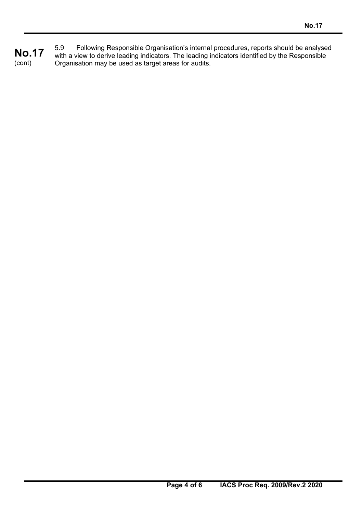**No.17**  (cont) 5.9 Following Responsible Organisation's internal procedures, reports should be analysed with a view to derive leading indicators. The leading indicators identified by the Responsible Organisation may be used as target areas for audits.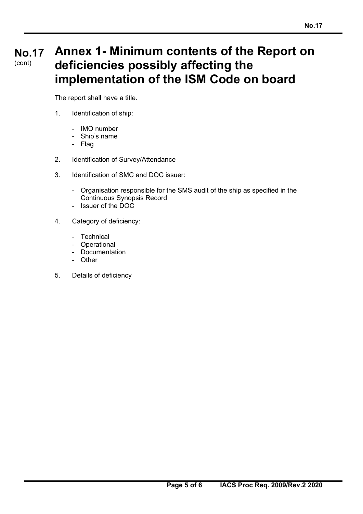#### **No.17**  (cont) **Annex 1- Minimum contents of the Report on deficiencies possibly affecting the implementation of the ISM Code on board**

The report shall have a title.

- 1. Identification of ship:
	- IMO number
	- Ship's name
	- Flag
- 2. Identification of Survey/Attendance
- 3. Identification of SMC and DOC issuer:
	- Organisation responsible for the SMS audit of the ship as specified in the Continuous Synopsis Record
	- Issuer of the DOC
- 4. Category of deficiency:
	- Technical
	- Operational
	- Documentation
	- Other
- 5. Details of deficiency